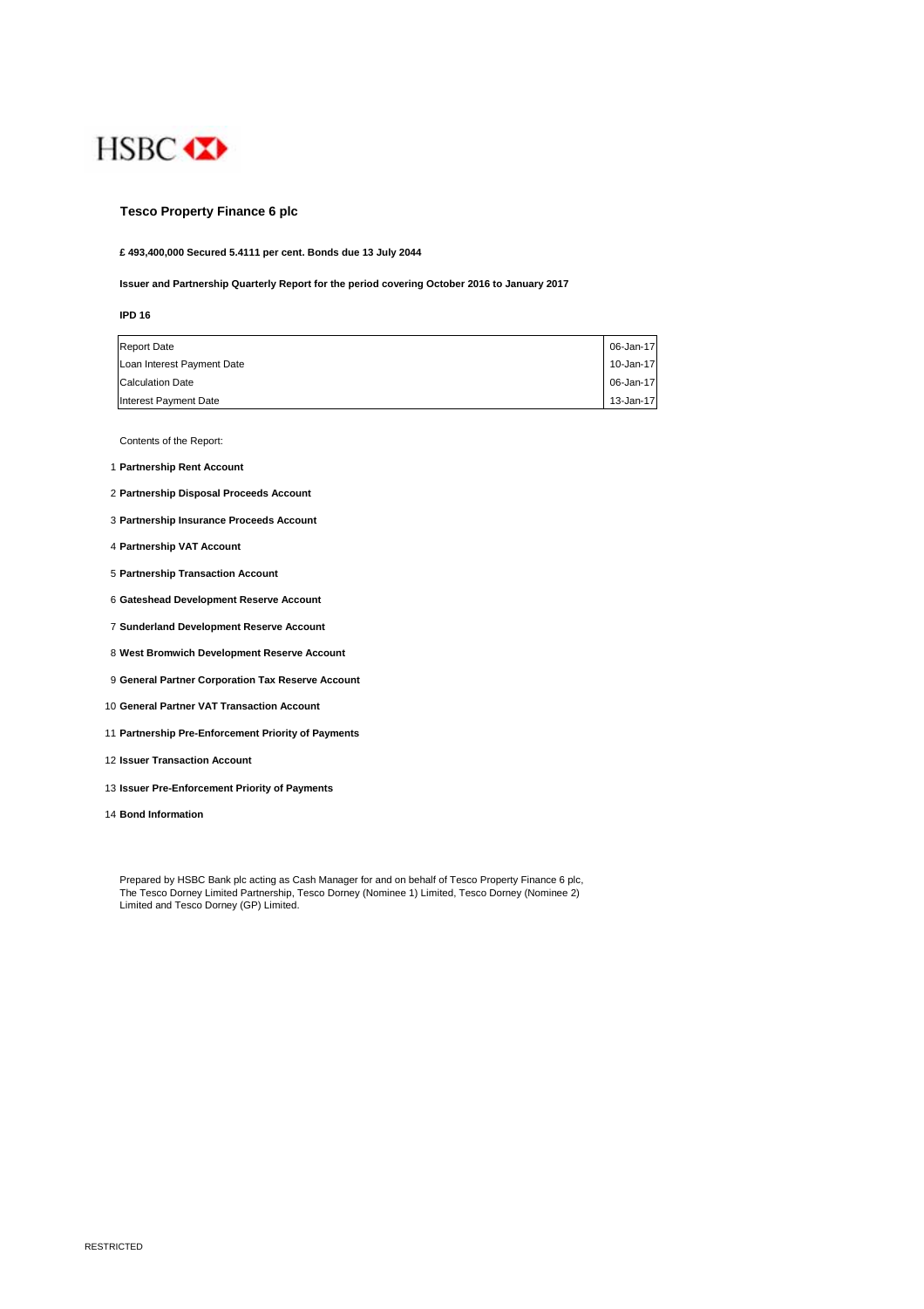

## **Tesco Property Finance 6 plc**

**£ 493,400,000 Secured 5.4111 per cent. Bonds due 13 July 2044**

#### **Issuer and Partnership Quarterly Report for the period covering October 2016 to January 2017**

| I | × |
|---|---|
|   | I |

| <b>Report Date</b>         | 06-Jan-17 |
|----------------------------|-----------|
| Loan Interest Payment Date | 10-Jan-17 |
| <b>Calculation Date</b>    | 06-Jan-17 |
| Interest Payment Date      | 13-Jan-17 |

Contents of the Report:

- 1 **Partnership Rent Account**
- 2 **Partnership Disposal Proceeds Account**
- 3 **Partnership Insurance Proceeds Account**
- 4 **Partnership VAT Account**
- 5 **Partnership Transaction Account**
- 6 **Gateshead Development Reserve Account**
- 7 **Sunderland Development Reserve Account**
- 8 **West Bromwich Development Reserve Account**
- 9 **General Partner Corporation Tax Reserve Account**
- 10 **General Partner VAT Transaction Account**
- 11 **Partnership Pre-Enforcement Priority of Payments**
- 12 **Issuer Transaction Account**
- 13 **Issuer Pre-Enforcement Priority of Payments**
- 14 **Bond Information**

Prepared by HSBC Bank plc acting as Cash Manager for and on behalf of Tesco Property Finance 6 plc, The Tesco Dorney Limited Partnership, Tesco Dorney (Nominee 1) Limited, Tesco Dorney (Nominee 2) Limited and Tesco Dorney (GP) Limited.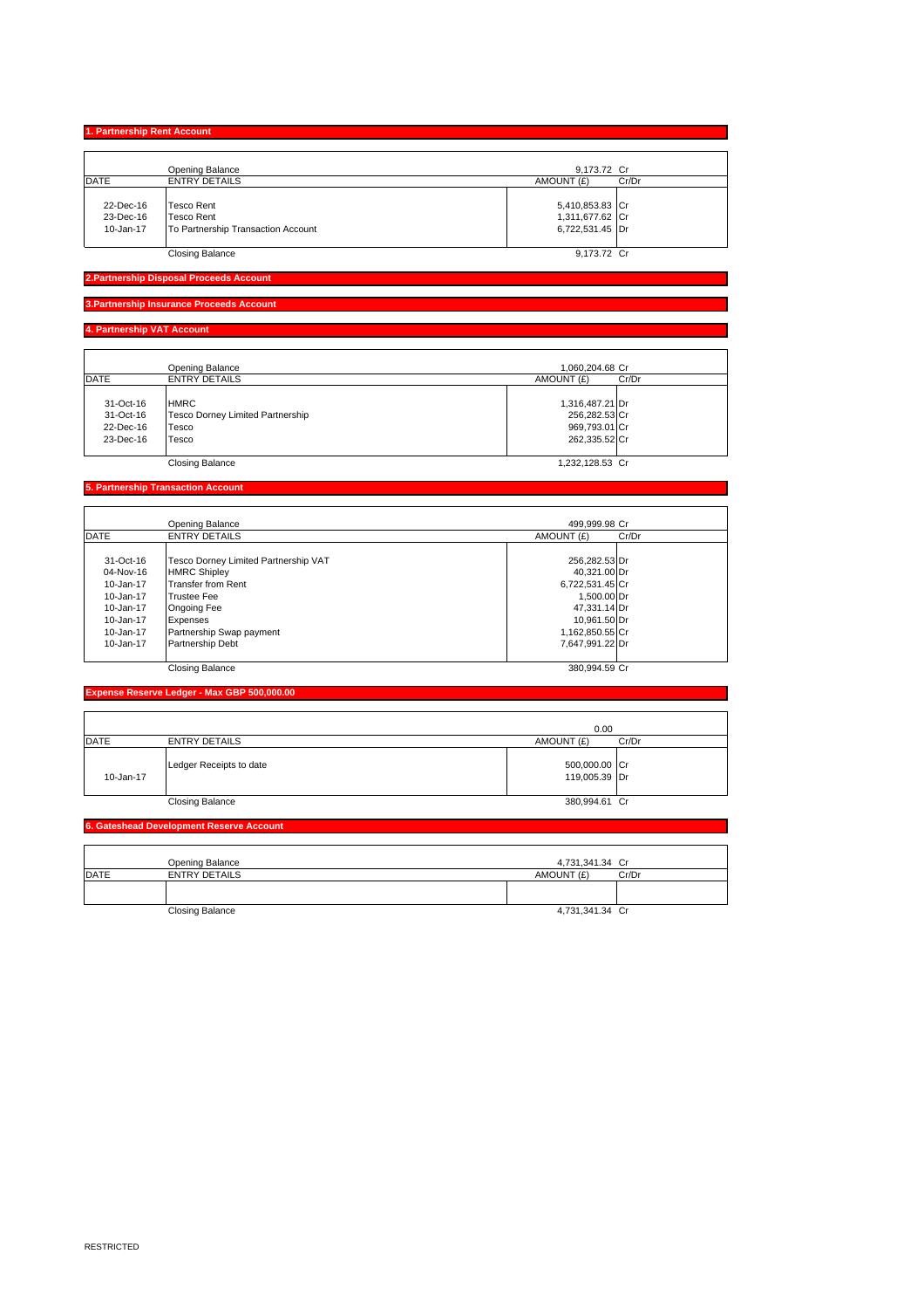## **1. Partnership Rent Account**

|             | Opening Balance                    | 9,173.72 Cr         |
|-------------|------------------------------------|---------------------|
| <b>DATE</b> | <b>ENTRY DETAILS</b>               | AMOUNT (£)<br>Cr/Dr |
|             |                                    |                     |
| 22-Dec-16   | Tesco Rent                         | 5,410,853.83 Cr     |
| 23-Dec-16   | Tesco Rent                         | 1,311,677.62 Cr     |
| 10-Jan-17   | To Partnership Transaction Account | 6,722,531.45 Dr     |
|             |                                    |                     |

#### **2.Partnership Disposal Proceeds A**

#### **3.Partnership Insurance Proceeds Account**

# **4. Partnership VAT Account**

|             | Opening Balance                  | 1.060.204.68 Cr |       |
|-------------|----------------------------------|-----------------|-------|
| <b>DATE</b> | <b>ENTRY DETAILS</b>             | AMOUNT (£)      | Cr/Dr |
|             |                                  |                 |       |
| 31-Oct-16   | <b>HMRC</b>                      | 1,316,487.21 Dr |       |
| 31-Oct-16   | Tesco Dorney Limited Partnership | 256,282.53 Cr   |       |
| 22-Dec-16   | Tesco                            | 969,793.01 Cr   |       |
| 23-Dec-16   | Tesco                            | 262,335.52 Cr   |       |
|             |                                  |                 |       |
|             | <b>Closing Balance</b>           | 1.232.128.53 Cr |       |

# **5. Partnership Transaction Account**

|               | Opening Balance                      | 499.999.98 Cr       |
|---------------|--------------------------------------|---------------------|
| <b>DATE</b>   | <b>ENTRY DETAILS</b>                 | AMOUNT (£)<br>Cr/Dr |
| 31-Oct-16     | Tesco Dorney Limited Partnership VAT | 256,282.53 Dr       |
| 04-Nov-16     | <b>HMRC Shipley</b>                  | 40.321.00 Dr        |
| 10-Jan-17     | <b>Transfer from Rent</b>            | 6,722,531.45 Cr     |
| 10-Jan-17     | <b>Trustee Fee</b>                   | 1.500.00 Dr         |
| 10-Jan-17     | Ongoing Fee                          | 47,331.14 Dr        |
| 10-Jan-17     | Expenses                             | 10.961.50 Dr        |
| 10-Jan-17     | Partnership Swap payment             | 1,162,850.55 Cr     |
| $10 - Jan-17$ | Partnership Debt                     | 7.647.991.22 Dr     |
|               | <b>Closing Balance</b>               | 380.994.59 Cr       |

# **Expense Reserve Ledger - Max GBP 500,000.00**

|             |                         | 0.00                           |       |
|-------------|-------------------------|--------------------------------|-------|
| <b>DATE</b> | <b>ENTRY DETAILS</b>    | AMOUNT (£)                     | Cr/Dr |
| 10-Jan-17   | Ledger Receipts to date | 500,000.00 Cr<br>119,005.39 Dr |       |
|             | <b>Closing Balance</b>  | 380,994.61 Cr                  |       |

## **6. Gateshead Development Reserve Account**

|             | Opening Balance        | 4,731,341.34 Cr     |  |
|-------------|------------------------|---------------------|--|
| <b>DATE</b> | <b>ENTRY DETAILS</b>   | AMOUNT (£)<br>Cr/Dr |  |
|             |                        |                     |  |
|             |                        |                     |  |
|             | <b>Closing Balance</b> | 4,731,341.34 Cr     |  |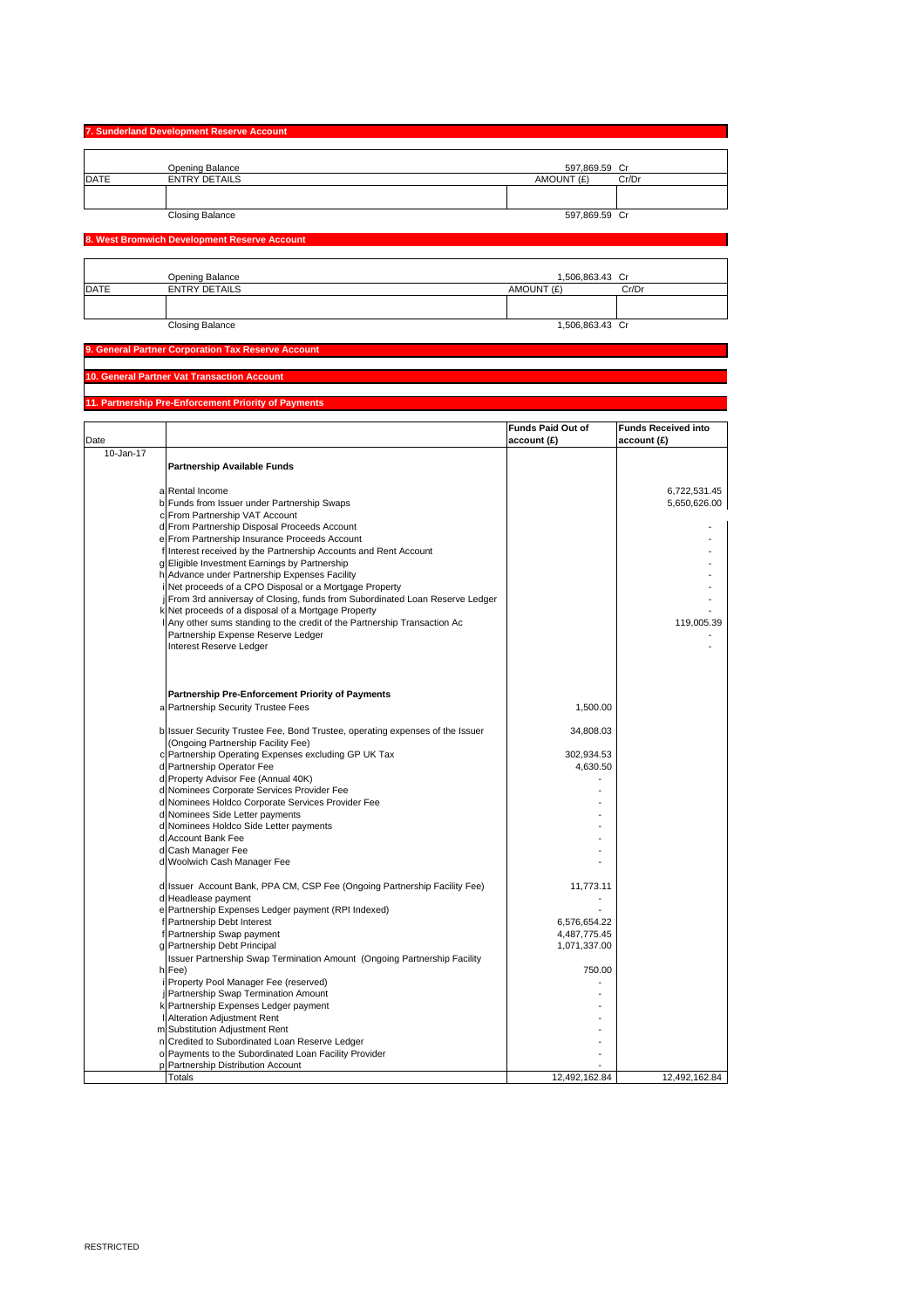|             | 7. Sunderland Development Reserve Account |               |       |
|-------------|-------------------------------------------|---------------|-------|
|             | Opening Balance                           | 597,869.59 Cr |       |
| <b>DATE</b> | <b>ENTRY DETAILS</b>                      | AMOUNT (£)    | Cr/Dr |
|             |                                           |               |       |
|             | <b>Closing Balance</b>                    | 597,869.59 Cr |       |

٦ ٦

### **8. West Bromwich Development Reserve Account**

|             | Opening Balance        | 1,506,863.43 Cr |       |
|-------------|------------------------|-----------------|-------|
| <b>DATE</b> | <b>ENTRY DETAILS</b>   | AMOUNT (£)      | Cr/Dr |
|             |                        |                 |       |
|             |                        |                 |       |
|             | <b>Closing Balance</b> | 1,506,863.43 Cr |       |

# **9. General Partner Corporation Tax Reserve Account**

## **10. General Partner Vat Transaction Account**

## **11. Partnership Pre-Enforcement Priority of Payments**

| Date      |                                                                                                                     | <b>Funds Paid Out of</b><br>account (£) | <b>Funds Received into</b><br>account (£) |
|-----------|---------------------------------------------------------------------------------------------------------------------|-----------------------------------------|-------------------------------------------|
| 10-Jan-17 |                                                                                                                     |                                         |                                           |
|           | <b>Partnership Available Funds</b>                                                                                  |                                         |                                           |
|           | a Rental Income                                                                                                     |                                         | 6,722,531.45                              |
|           | b Funds from Issuer under Partnership Swaps                                                                         |                                         | 5,650,626.00                              |
|           | c From Partnership VAT Account                                                                                      |                                         |                                           |
|           | d From Partnership Disposal Proceeds Account                                                                        |                                         |                                           |
|           | e From Partnership Insurance Proceeds Account                                                                       |                                         |                                           |
|           | f Interest received by the Partnership Accounts and Rent Account                                                    |                                         |                                           |
|           | g Eligible Investment Earnings by Partnership                                                                       |                                         |                                           |
|           | h Advance under Partnership Expenses Facility                                                                       |                                         |                                           |
|           | i Net proceeds of a CPO Disposal or a Mortgage Property                                                             |                                         |                                           |
|           | j From 3rd anniversay of Closing, funds from Subordinated Loan Reserve Ledger                                       |                                         |                                           |
|           | k Net proceeds of a disposal of a Mortgage Property                                                                 |                                         |                                           |
|           | I Any other sums standing to the credit of the Partnership Transaction Ac                                           |                                         | 119,005.39                                |
|           | Partnership Expense Reserve Ledger<br>Interest Reserve Ledger                                                       |                                         |                                           |
|           |                                                                                                                     |                                         |                                           |
|           | Partnership Pre-Enforcement Priority of Payments                                                                    |                                         |                                           |
|           | a Partnership Security Trustee Fees                                                                                 | 1,500.00                                |                                           |
|           | b Issuer Security Trustee Fee, Bond Trustee, operating expenses of the Issuer<br>(Ongoing Partnership Facility Fee) | 34,808.03                               |                                           |
|           | c Partnership Operating Expenses excluding GP UK Tax                                                                | 302,934.53                              |                                           |
|           | d Partnership Operator Fee                                                                                          | 4,630.50                                |                                           |
|           | d Property Advisor Fee (Annual 40K)                                                                                 |                                         |                                           |
|           | d Nominees Corporate Services Provider Fee                                                                          |                                         |                                           |
|           | d Nominees Holdco Corporate Services Provider Fee                                                                   |                                         |                                           |
|           | d Nominees Side Letter payments                                                                                     |                                         |                                           |
|           | d Nominees Holdco Side Letter payments                                                                              |                                         |                                           |
|           | d Account Bank Fee                                                                                                  |                                         |                                           |
|           | d Cash Manager Fee                                                                                                  |                                         |                                           |
|           | d Woolwich Cash Manager Fee                                                                                         |                                         |                                           |
|           | d Issuer Account Bank, PPA CM, CSP Fee (Ongoing Partnership Facility Fee)                                           | 11,773.11                               |                                           |
|           | d Headlease payment                                                                                                 |                                         |                                           |
|           | e Partnership Expenses Ledger payment (RPI Indexed)                                                                 |                                         |                                           |
|           | f Partnership Debt Interest                                                                                         | 6,576,654.22                            |                                           |
|           | f Partnership Swap payment                                                                                          | 4,487,775.45                            |                                           |
|           | g Partnership Debt Principal                                                                                        | 1,071,337.00                            |                                           |
|           | Issuer Partnership Swap Termination Amount (Ongoing Partnership Facility                                            |                                         |                                           |
|           | h Fee)                                                                                                              | 750.00                                  |                                           |
|           | i Property Pool Manager Fee (reserved)                                                                              |                                         |                                           |
|           | j Partnership Swap Termination Amount                                                                               |                                         |                                           |
|           | k Partnership Expenses Ledger payment<br>I Alteration Adjustment Rent                                               |                                         |                                           |
|           |                                                                                                                     |                                         |                                           |
|           | m Substitution Adjustment Rent<br>n Credited to Subordinated Loan Reserve Ledger                                    |                                         |                                           |
|           | o Payments to the Subordinated Loan Facility Provider                                                               |                                         |                                           |
|           | Partnership Distribution Account                                                                                    |                                         |                                           |
|           | <b>Totals</b>                                                                                                       | 12,492,162.84                           | 12,492,162.84                             |
|           |                                                                                                                     |                                         |                                           |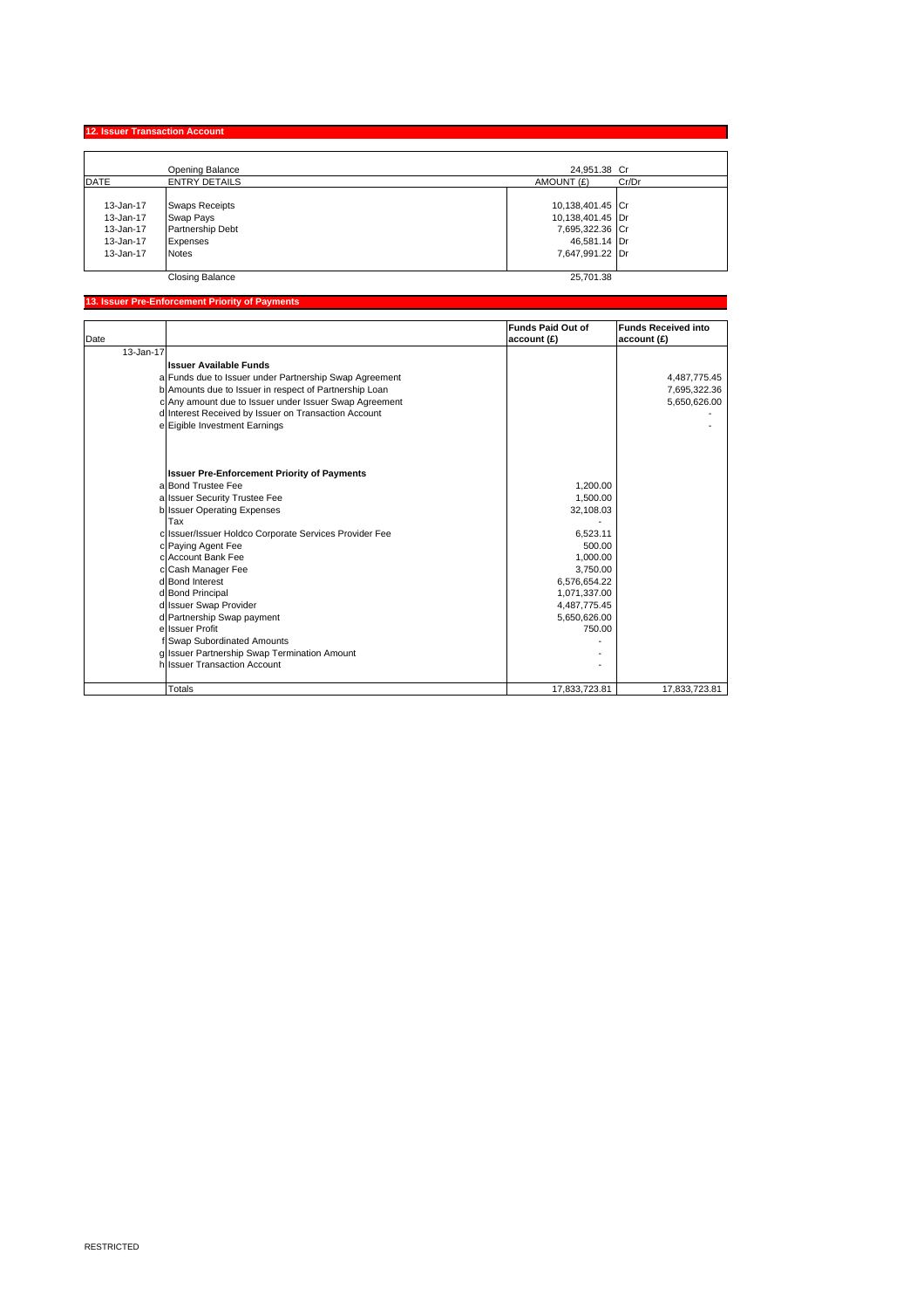**12. Issuer Transaction Account** 

|           | Opening Balance        | 24,951.38 Cr     |       |
|-----------|------------------------|------------------|-------|
| DATE      | <b>ENTRY DETAILS</b>   | AMOUNT (£)       | Cr/Dr |
|           |                        |                  |       |
| 13-Jan-17 | <b>Swaps Receipts</b>  | 10,138,401.45 Cr |       |
| 13-Jan-17 | Swap Pays              | 10,138,401.45 Dr |       |
| 13-Jan-17 | Partnership Debt       | 7,695,322.36 Cr  |       |
| 13-Jan-17 | Expenses               | 46,581.14 Dr     |       |
| 13-Jan-17 | <b>Notes</b>           | 7,647,991.22 Dr  |       |
|           |                        |                  |       |
|           | <b>Closing Balance</b> | 25,701.38        |       |

#### **13. Issuer Pre-Enforcement Priority of Payments**

| Date      |                                                        | <b>Funds Paid Out of</b><br>account (£) | <b>Funds Received into</b><br>account (£) |
|-----------|--------------------------------------------------------|-----------------------------------------|-------------------------------------------|
| 13-Jan-17 |                                                        |                                         |                                           |
|           | <b>Issuer Available Funds</b>                          |                                         |                                           |
|           | a Funds due to Issuer under Partnership Swap Agreement |                                         | 4,487,775.45                              |
|           | b Amounts due to Issuer in respect of Partnership Loan |                                         | 7,695,322.36                              |
|           | c Any amount due to Issuer under Issuer Swap Agreement |                                         | 5,650,626.00                              |
|           | d Interest Received by Issuer on Transaction Account   |                                         |                                           |
|           | e Eigible Investment Earnings                          |                                         |                                           |
|           | <b>Issuer Pre-Enforcement Priority of Payments</b>     |                                         |                                           |
|           | a Bond Trustee Fee                                     | 1.200.00                                |                                           |
|           | a Issuer Security Trustee Fee                          | 1,500.00                                |                                           |
|           | b Issuer Operating Expenses                            | 32,108.03                               |                                           |
|           | Tax                                                    |                                         |                                           |
|           | c Issuer/Issuer Holdco Corporate Services Provider Fee | 6.523.11                                |                                           |
|           | c Paying Agent Fee                                     | 500.00                                  |                                           |
|           | c Account Bank Fee                                     | 1.000.00                                |                                           |
|           | c Cash Manager Fee                                     | 3,750.00                                |                                           |
|           | d Bond Interest                                        | 6,576,654.22                            |                                           |
|           | d Bond Principal                                       | 1,071,337.00                            |                                           |
|           | d Issuer Swap Provider                                 | 4,487,775.45                            |                                           |
|           | d Partnership Swap payment                             | 5,650,626.00                            |                                           |
|           | e Issuer Profit                                        | 750.00                                  |                                           |
|           | f Swap Subordinated Amounts                            |                                         |                                           |
|           | g Issuer Partnership Swap Termination Amount           |                                         |                                           |
|           | h Issuer Transaction Account                           |                                         |                                           |
|           | Totals                                                 | 17.833.723.81                           | 17,833,723.81                             |